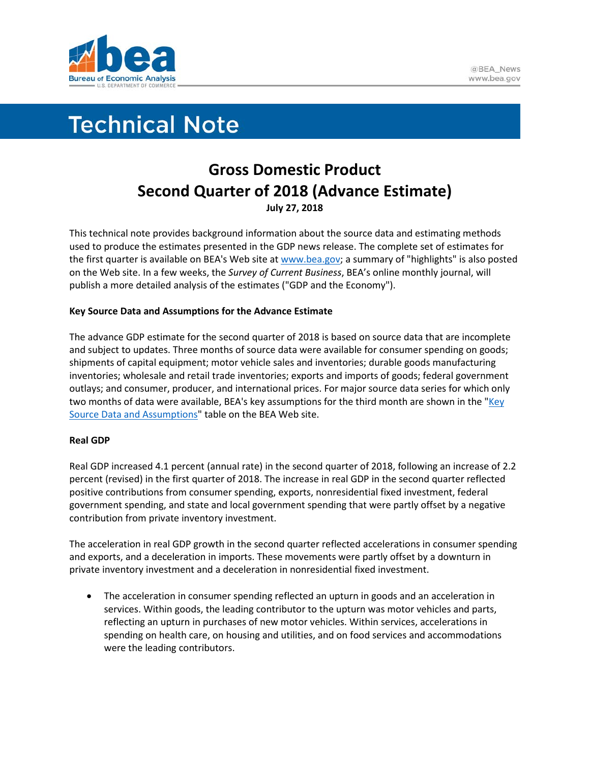

# **Technical Note**

## **Gross Domestic Product Second Quarter of 2018 (Advance Estimate) July 27, 2018**

This technical note provides background information about the source data and estimating methods used to produce the estimates presented in the GDP news release. The complete set of estimates for the first quarter is available on BEA's Web site a[t www.bea.gov;](http://www.bea.gov/) a summary of "highlights" is also posted on the Web site. In a few weeks, the *Survey of Current Business*, BEA's online monthly journal, will publish a more detailed analysis of the estimates ("GDP and the Economy").

### **Key Source Data and Assumptions for the Advance Estimate**

The advance GDP estimate for the second quarter of 2018 is based on source data that are incomplete and subject to updates. Three months of source data were available for consumer spending on goods; shipments of capital equipment; motor vehicle sales and inventories; durable goods manufacturing inventories; wholesale and retail trade inventories; exports and imports of goods; federal government outlays; and consumer, producer, and international prices. For major source data series for which only two months of data were available, BEA's key assumptions for the third month are shown in the " $Key$ [Source Data and Assumptions"](https://www.bea.gov/national/index.htm#Key) table on the BEA Web site.

#### **Real GDP**

Real GDP increased 4.1 percent (annual rate) in the second quarter of 2018, following an increase of 2.2 percent (revised) in the first quarter of 2018. The increase in real GDP in the second quarter reflected positive contributions from consumer spending, exports, nonresidential fixed investment, federal government spending, and state and local government spending that were partly offset by a negative contribution from private inventory investment.

The acceleration in real GDP growth in the second quarter reflected accelerations in consumer spending and exports, and a deceleration in imports. These movements were partly offset by a downturn in private inventory investment and a deceleration in nonresidential fixed investment.

• The acceleration in consumer spending reflected an upturn in goods and an acceleration in services. Within goods, the leading contributor to the upturn was motor vehicles and parts, reflecting an upturn in purchases of new motor vehicles. Within services, accelerations in spending on health care, on housing and utilities, and on food services and accommodations were the leading contributors.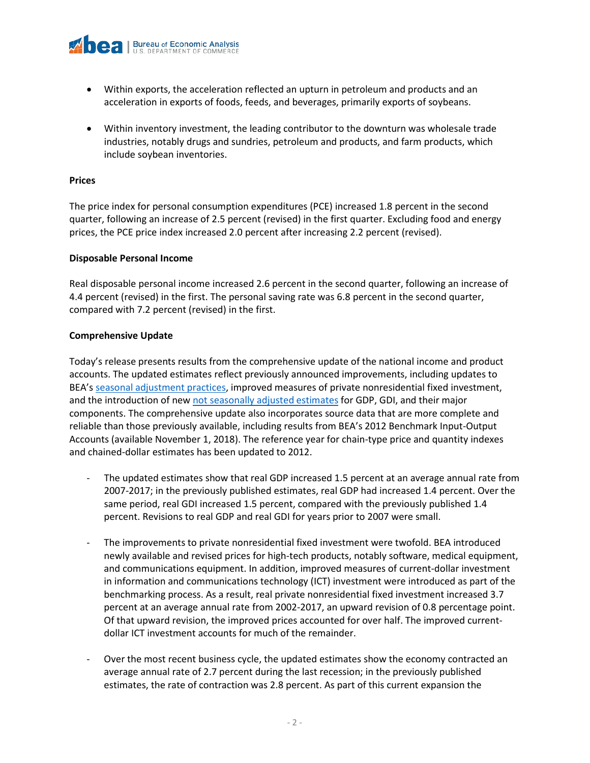

- Within exports, the acceleration reflected an upturn in petroleum and products and an acceleration in exports of foods, feeds, and beverages, primarily exports of soybeans.
- Within inventory investment, the leading contributor to the downturn was wholesale trade industries, notably drugs and sundries, petroleum and products, and farm products, which include soybean inventories.

#### **Prices**

The price index for personal consumption expenditures (PCE) increased 1.8 percent in the second quarter, following an increase of 2.5 percent (revised) in the first quarter. Excluding food and energy prices, the PCE price index increased 2.0 percent after increasing 2.2 percent (revised).

#### **Disposable Personal Income**

Real disposable personal income increased 2.6 percent in the second quarter, following an increase of 4.4 percent (revised) in the first. The personal saving rate was 6.8 percent in the second quarter, compared with 7.2 percent (revised) in the first.

#### **Comprehensive Update**

Today's release presents results from the comprehensive update of the national income and product accounts. The updated estimates reflect previously announced improvements, including updates to BEA's [seasonal adjustment practices,](https://www.bea.gov/faq/index.cfm?faq_id=1069) improved measures of private nonresidential fixed investment, and the introduction of new [not seasonally adjusted](https://www.bea.gov/faq/index.cfm?faq_id=1300) estimates for GDP, GDI, and their major components. The comprehensive update also incorporates source data that are more complete and reliable than those previously available, including results from BEA's 2012 Benchmark Input-Output Accounts (available November 1, 2018). The reference year for chain-type price and quantity indexes and chained-dollar estimates has been updated to 2012.

- The updated estimates show that real GDP increased 1.5 percent at an average annual rate from 2007-2017; in the previously published estimates, real GDP had increased 1.4 percent. Over the same period, real GDI increased 1.5 percent, compared with the previously published 1.4 percent. Revisions to real GDP and real GDI for years prior to 2007 were small.
- The improvements to private nonresidential fixed investment were twofold. BEA introduced newly available and revised prices for high-tech products, notably software, medical equipment, and communications equipment. In addition, improved measures of current-dollar investment in information and communications technology (ICT) investment were introduced as part of the benchmarking process. As a result, real private nonresidential fixed investment increased 3.7 percent at an average annual rate from 2002-2017, an upward revision of 0.8 percentage point. Of that upward revision, the improved prices accounted for over half. The improved currentdollar ICT investment accounts for much of the remainder.
- Over the most recent business cycle, the updated estimates show the economy contracted an average annual rate of 2.7 percent during the last recession; in the previously published estimates, the rate of contraction was 2.8 percent. As part of this current expansion the